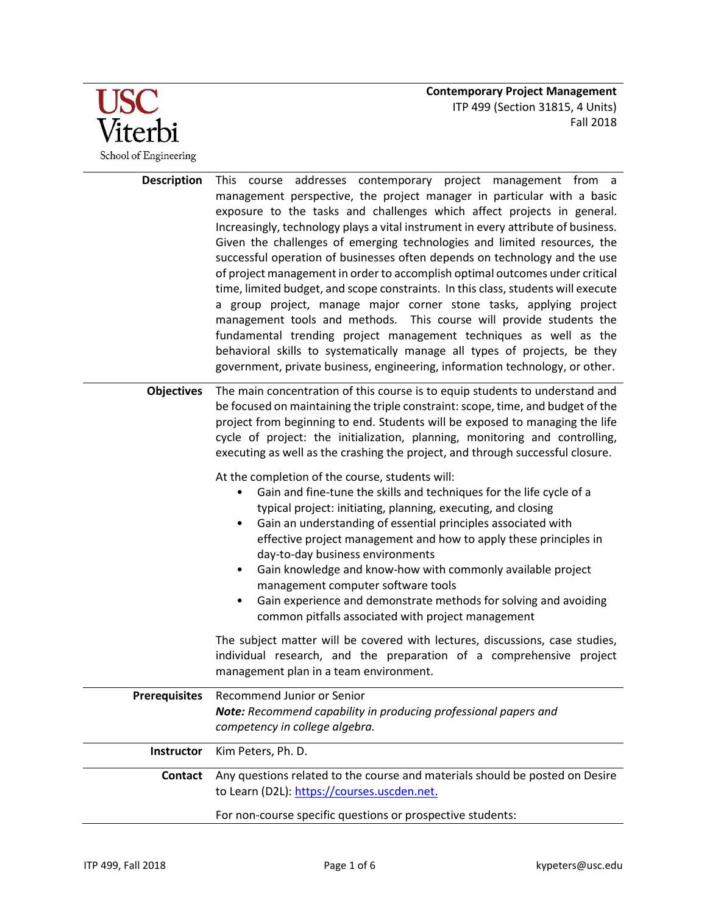

| <b>Description</b>   | This course addresses contemporary project management from a<br>management perspective, the project manager in particular with a basic<br>exposure to the tasks and challenges which affect projects in general.<br>Increasingly, technology plays a vital instrument in every attribute of business.<br>Given the challenges of emerging technologies and limited resources, the<br>successful operation of businesses often depends on technology and the use<br>of project management in order to accomplish optimal outcomes under critical<br>time, limited budget, and scope constraints. In this class, students will execute<br>a group project, manage major corner stone tasks, applying project<br>management tools and methods. This course will provide students the<br>fundamental trending project management techniques as well as the<br>behavioral skills to systematically manage all types of projects, be they<br>government, private business, engineering, information technology, or other. |  |
|----------------------|---------------------------------------------------------------------------------------------------------------------------------------------------------------------------------------------------------------------------------------------------------------------------------------------------------------------------------------------------------------------------------------------------------------------------------------------------------------------------------------------------------------------------------------------------------------------------------------------------------------------------------------------------------------------------------------------------------------------------------------------------------------------------------------------------------------------------------------------------------------------------------------------------------------------------------------------------------------------------------------------------------------------|--|
| <b>Objectives</b>    | The main concentration of this course is to equip students to understand and<br>be focused on maintaining the triple constraint: scope, time, and budget of the<br>project from beginning to end. Students will be exposed to managing the life<br>cycle of project: the initialization, planning, monitoring and controlling,<br>executing as well as the crashing the project, and through successful closure.                                                                                                                                                                                                                                                                                                                                                                                                                                                                                                                                                                                                    |  |
|                      | At the completion of the course, students will:<br>Gain and fine-tune the skills and techniques for the life cycle of a<br>typical project: initiating, planning, executing, and closing<br>Gain an understanding of essential principles associated with<br>$\bullet$<br>effective project management and how to apply these principles in<br>day-to-day business environments<br>Gain knowledge and know-how with commonly available project<br>$\bullet$<br>management computer software tools<br>Gain experience and demonstrate methods for solving and avoiding<br>$\bullet$<br>common pitfalls associated with project management                                                                                                                                                                                                                                                                                                                                                                            |  |
|                      | The subject matter will be covered with lectures, discussions, case studies,<br>individual research, and the preparation of a comprehensive project<br>management plan in a team environment.                                                                                                                                                                                                                                                                                                                                                                                                                                                                                                                                                                                                                                                                                                                                                                                                                       |  |
| <b>Prerequisites</b> | Recommend Junior or Senior                                                                                                                                                                                                                                                                                                                                                                                                                                                                                                                                                                                                                                                                                                                                                                                                                                                                                                                                                                                          |  |
|                      | Note: Recommend capability in producing professional papers and                                                                                                                                                                                                                                                                                                                                                                                                                                                                                                                                                                                                                                                                                                                                                                                                                                                                                                                                                     |  |
|                      | competency in college algebra.                                                                                                                                                                                                                                                                                                                                                                                                                                                                                                                                                                                                                                                                                                                                                                                                                                                                                                                                                                                      |  |
| Instructor           | Kim Peters, Ph. D.                                                                                                                                                                                                                                                                                                                                                                                                                                                                                                                                                                                                                                                                                                                                                                                                                                                                                                                                                                                                  |  |
| <b>Contact</b>       | Any questions related to the course and materials should be posted on Desire<br>to Learn (D2L): https://courses.uscden.net.                                                                                                                                                                                                                                                                                                                                                                                                                                                                                                                                                                                                                                                                                                                                                                                                                                                                                         |  |
|                      | For non-course specific questions or prospective students:                                                                                                                                                                                                                                                                                                                                                                                                                                                                                                                                                                                                                                                                                                                                                                                                                                                                                                                                                          |  |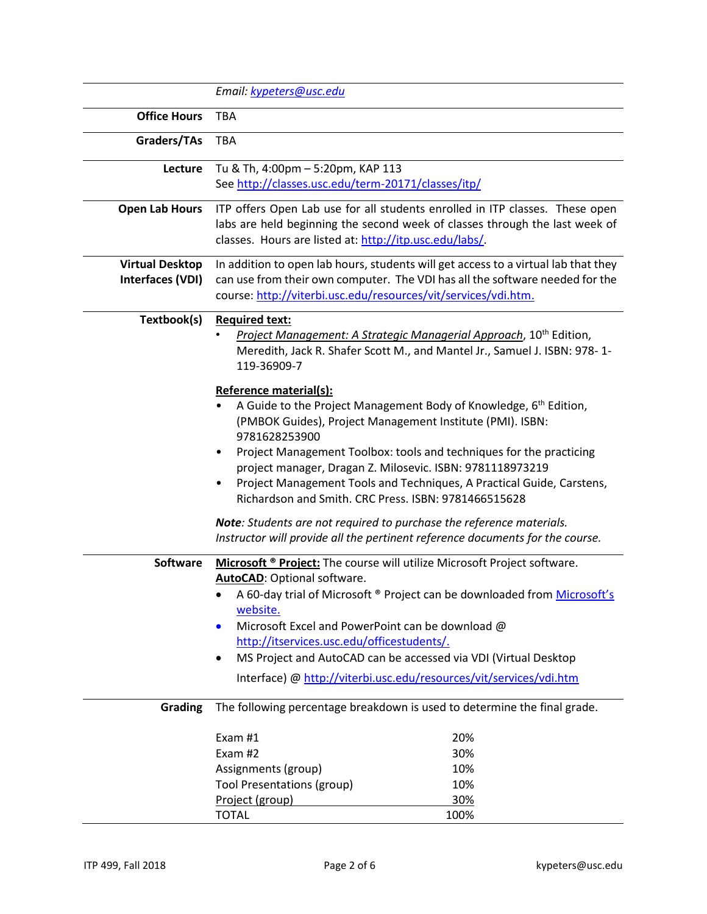|                        | Email: kypeters@usc.edu                                                                                                                                                                                                                                                                                                                                                                                                                                                                                                                                                                                                                                                                                                                                                                                                    |                                                                          |  |
|------------------------|----------------------------------------------------------------------------------------------------------------------------------------------------------------------------------------------------------------------------------------------------------------------------------------------------------------------------------------------------------------------------------------------------------------------------------------------------------------------------------------------------------------------------------------------------------------------------------------------------------------------------------------------------------------------------------------------------------------------------------------------------------------------------------------------------------------------------|--------------------------------------------------------------------------|--|
| <b>Office Hours</b>    | <b>TBA</b>                                                                                                                                                                                                                                                                                                                                                                                                                                                                                                                                                                                                                                                                                                                                                                                                                 |                                                                          |  |
| Graders/TAs            | <b>TBA</b>                                                                                                                                                                                                                                                                                                                                                                                                                                                                                                                                                                                                                                                                                                                                                                                                                 |                                                                          |  |
| Lecture                | Tu & Th, 4:00pm - 5:20pm, KAP 113                                                                                                                                                                                                                                                                                                                                                                                                                                                                                                                                                                                                                                                                                                                                                                                          |                                                                          |  |
|                        | See http://classes.usc.edu/term-20171/classes/itp/                                                                                                                                                                                                                                                                                                                                                                                                                                                                                                                                                                                                                                                                                                                                                                         |                                                                          |  |
| <b>Open Lab Hours</b>  | ITP offers Open Lab use for all students enrolled in ITP classes. These open<br>labs are held beginning the second week of classes through the last week of<br>classes. Hours are listed at: http://itp.usc.edu/labs/.                                                                                                                                                                                                                                                                                                                                                                                                                                                                                                                                                                                                     |                                                                          |  |
| <b>Virtual Desktop</b> | In addition to open lab hours, students will get access to a virtual lab that they                                                                                                                                                                                                                                                                                                                                                                                                                                                                                                                                                                                                                                                                                                                                         |                                                                          |  |
| Interfaces (VDI)       | can use from their own computer. The VDI has all the software needed for the<br>course: http://viterbi.usc.edu/resources/vit/services/vdi.htm.                                                                                                                                                                                                                                                                                                                                                                                                                                                                                                                                                                                                                                                                             |                                                                          |  |
| Textbook(s)            | <b>Required text:</b><br>Project Management: A Strategic Managerial Approach, 10 <sup>th</sup> Edition,<br>Meredith, Jack R. Shafer Scott M., and Mantel Jr., Samuel J. ISBN: 978-1-<br>119-36909-7<br>Reference material(s):<br>A Guide to the Project Management Body of Knowledge, 6 <sup>th</sup> Edition,<br>(PMBOK Guides), Project Management Institute (PMI). ISBN:<br>9781628253900<br>Project Management Toolbox: tools and techniques for the practicing<br>project manager, Dragan Z. Milosevic. ISBN: 9781118973219<br>Project Management Tools and Techniques, A Practical Guide, Carstens,<br>Richardson and Smith. CRC Press. ISBN: 9781466515628<br>Note: Students are not required to purchase the reference materials.<br>Instructor will provide all the pertinent reference documents for the course. |                                                                          |  |
|                        |                                                                                                                                                                                                                                                                                                                                                                                                                                                                                                                                                                                                                                                                                                                                                                                                                            |                                                                          |  |
|                        |                                                                                                                                                                                                                                                                                                                                                                                                                                                                                                                                                                                                                                                                                                                                                                                                                            |                                                                          |  |
| <b>Software</b>        | Microsoft ® Project: The course will utilize Microsoft Project software.<br>AutoCAD: Optional software.<br>A 60-day trial of Microsoft ® Project can be downloaded from Microsoft's<br>website.<br>Microsoft Excel and PowerPoint can be download @<br>$\bullet$<br>http://itservices.usc.edu/officestudents/.<br>MS Project and AutoCAD can be accessed via VDI (Virtual Desktop<br>Interface) @ http://viterbi.usc.edu/resources/vit/services/vdi.htm                                                                                                                                                                                                                                                                                                                                                                    |                                                                          |  |
| <b>Grading</b>         |                                                                                                                                                                                                                                                                                                                                                                                                                                                                                                                                                                                                                                                                                                                                                                                                                            | The following percentage breakdown is used to determine the final grade. |  |
|                        | Exam $#1$<br>Exam #2<br>Assignments (group)<br><b>Tool Presentations (group)</b><br>Project (group)                                                                                                                                                                                                                                                                                                                                                                                                                                                                                                                                                                                                                                                                                                                        | 20%<br>30%<br>10%<br>10%<br>30%                                          |  |
|                        | <b>TOTAL</b>                                                                                                                                                                                                                                                                                                                                                                                                                                                                                                                                                                                                                                                                                                                                                                                                               | 100%                                                                     |  |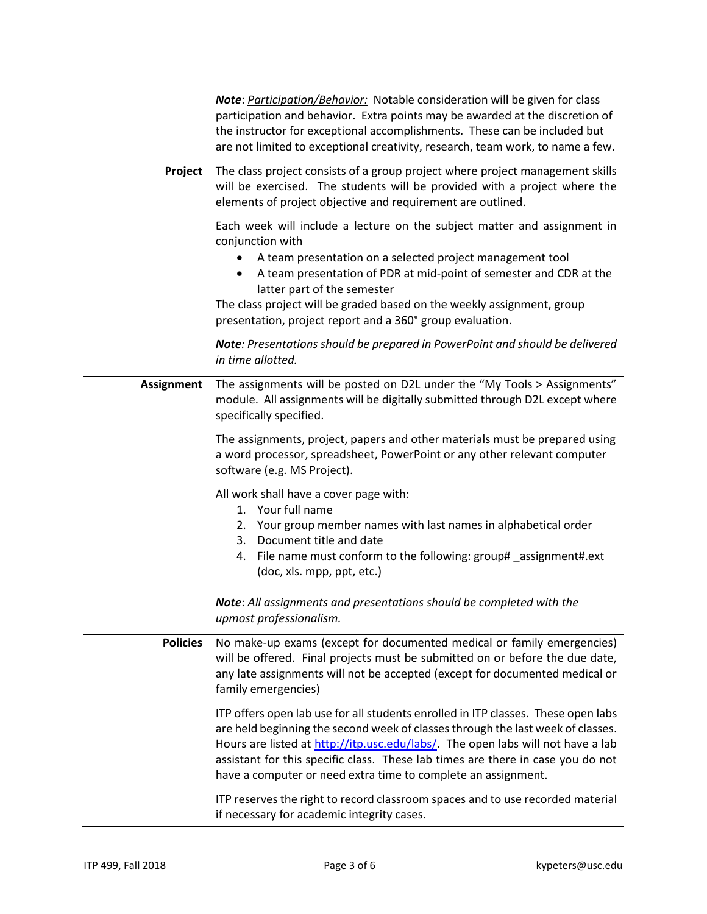|                   | Note: Participation/Behavior: Notable consideration will be given for class<br>participation and behavior. Extra points may be awarded at the discretion of<br>the instructor for exceptional accomplishments. These can be included but<br>are not limited to exceptional creativity, research, team work, to name a few.                                                                                  |  |
|-------------------|-------------------------------------------------------------------------------------------------------------------------------------------------------------------------------------------------------------------------------------------------------------------------------------------------------------------------------------------------------------------------------------------------------------|--|
| Project           | The class project consists of a group project where project management skills<br>will be exercised. The students will be provided with a project where the<br>elements of project objective and requirement are outlined.                                                                                                                                                                                   |  |
|                   | Each week will include a lecture on the subject matter and assignment in<br>conjunction with<br>A team presentation on a selected project management tool<br>A team presentation of PDR at mid-point of semester and CDR at the<br>latter part of the semester<br>The class project will be graded based on the weekly assignment, group<br>presentation, project report and a 360° group evaluation.       |  |
|                   | Note: Presentations should be prepared in PowerPoint and should be delivered<br>in time allotted.                                                                                                                                                                                                                                                                                                           |  |
| <b>Assignment</b> | The assignments will be posted on D2L under the "My Tools > Assignments"<br>module. All assignments will be digitally submitted through D2L except where<br>specifically specified.                                                                                                                                                                                                                         |  |
|                   | The assignments, project, papers and other materials must be prepared using<br>a word processor, spreadsheet, PowerPoint or any other relevant computer<br>software (e.g. MS Project).                                                                                                                                                                                                                      |  |
|                   | All work shall have a cover page with:<br>1. Your full name<br>2. Your group member names with last names in alphabetical order<br>Document title and date<br>3.<br>4. File name must conform to the following: group# _assignment#.ext<br>(doc, xls. mpp, ppt, etc.)                                                                                                                                       |  |
|                   | Note: All assignments and presentations should be completed with the<br>upmost professionalism.                                                                                                                                                                                                                                                                                                             |  |
| <b>Policies</b>   | No make-up exams (except for documented medical or family emergencies)<br>will be offered. Final projects must be submitted on or before the due date,<br>any late assignments will not be accepted (except for documented medical or<br>family emergencies)                                                                                                                                                |  |
|                   | ITP offers open lab use for all students enrolled in ITP classes. These open labs<br>are held beginning the second week of classes through the last week of classes.<br>Hours are listed at http://itp.usc.edu/labs/. The open labs will not have a lab<br>assistant for this specific class. These lab times are there in case you do not<br>have a computer or need extra time to complete an assignment. |  |
|                   | ITP reserves the right to record classroom spaces and to use recorded material<br>if necessary for academic integrity cases.                                                                                                                                                                                                                                                                                |  |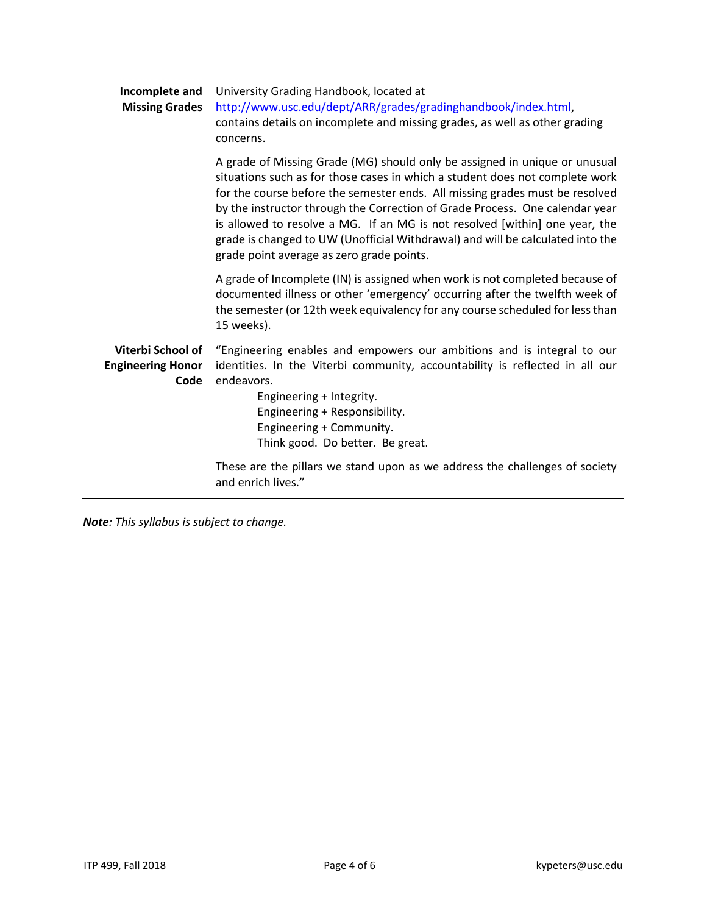| Incomplete and<br><b>Missing Grades</b>               | University Grading Handbook, located at<br>http://www.usc.edu/dept/ARR/grades/gradinghandbook/index.html,<br>contains details on incomplete and missing grades, as well as other grading<br>concerns.                                                                                                                                                                                                                                                                                                                                    |  |
|-------------------------------------------------------|------------------------------------------------------------------------------------------------------------------------------------------------------------------------------------------------------------------------------------------------------------------------------------------------------------------------------------------------------------------------------------------------------------------------------------------------------------------------------------------------------------------------------------------|--|
|                                                       | A grade of Missing Grade (MG) should only be assigned in unique or unusual<br>situations such as for those cases in which a student does not complete work<br>for the course before the semester ends. All missing grades must be resolved<br>by the instructor through the Correction of Grade Process. One calendar year<br>is allowed to resolve a MG. If an MG is not resolved [within] one year, the<br>grade is changed to UW (Unofficial Withdrawal) and will be calculated into the<br>grade point average as zero grade points. |  |
|                                                       | A grade of Incomplete (IN) is assigned when work is not completed because of<br>documented illness or other 'emergency' occurring after the twelfth week of<br>the semester (or 12th week equivalency for any course scheduled for less than<br>15 weeks).                                                                                                                                                                                                                                                                               |  |
| Viterbi School of<br><b>Engineering Honor</b><br>Code | "Engineering enables and empowers our ambitions and is integral to our<br>identities. In the Viterbi community, accountability is reflected in all our<br>endeavors.<br>Engineering + Integrity.<br>Engineering + Responsibility.<br>Engineering + Community.<br>Think good. Do better. Be great.                                                                                                                                                                                                                                        |  |
|                                                       | These are the pillars we stand upon as we address the challenges of society<br>and enrich lives."                                                                                                                                                                                                                                                                                                                                                                                                                                        |  |

*Note: This syllabus is subject to change.*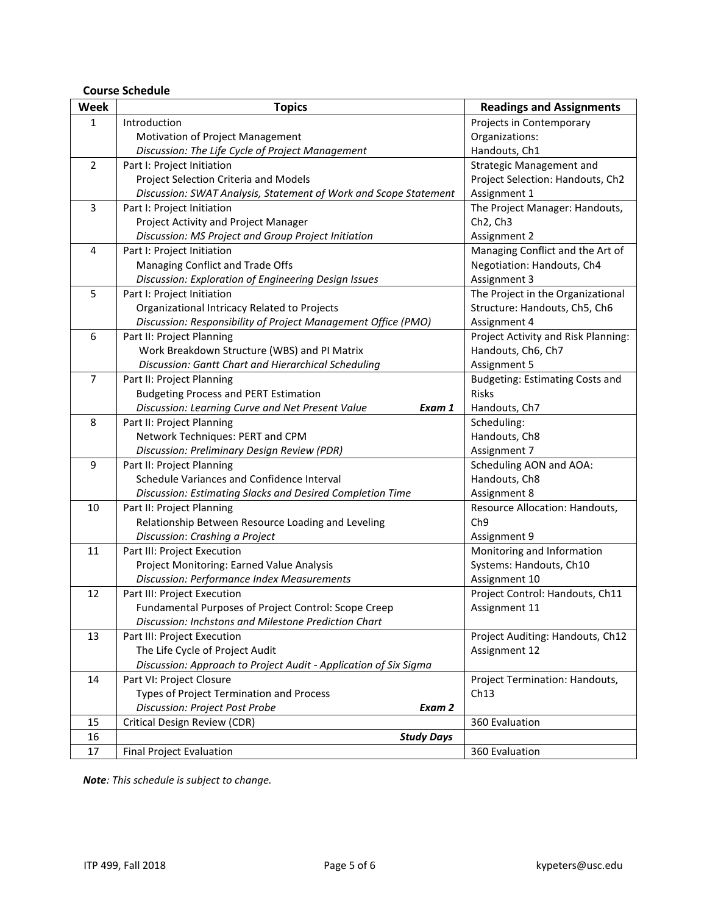# **Course Schedule**

| <b>Week</b>    | <b>Topics</b>                                                    | <b>Readings and Assignments</b>     |
|----------------|------------------------------------------------------------------|-------------------------------------|
| $\mathbf{1}$   | Introduction                                                     | Projects in Contemporary            |
|                | Motivation of Project Management                                 | Organizations:                      |
|                | Discussion: The Life Cycle of Project Management                 | Handouts, Ch1                       |
| $\overline{2}$ | Part I: Project Initiation                                       | <b>Strategic Management and</b>     |
|                | Project Selection Criteria and Models                            | Project Selection: Handouts, Ch2    |
|                | Discussion: SWAT Analysis, Statement of Work and Scope Statement | Assignment 1                        |
| 3              | Part I: Project Initiation                                       | The Project Manager: Handouts,      |
|                | Project Activity and Project Manager                             | Ch <sub>2</sub> , Ch <sub>3</sub>   |
|                | Discussion: MS Project and Group Project Initiation              | Assignment 2                        |
| 4              | Part I: Project Initiation                                       | Managing Conflict and the Art of    |
|                | Managing Conflict and Trade Offs                                 | Negotiation: Handouts, Ch4          |
|                | Discussion: Exploration of Engineering Design Issues             | Assignment 3                        |
| 5              | Part I: Project Initiation                                       | The Project in the Organizational   |
|                | Organizational Intricacy Related to Projects                     | Structure: Handouts, Ch5, Ch6       |
|                | Discussion: Responsibility of Project Management Office (PMO)    | Assignment 4                        |
| 6              | Part II: Project Planning                                        | Project Activity and Risk Planning: |
|                | Work Breakdown Structure (WBS) and PI Matrix                     | Handouts, Ch6, Ch7                  |
|                | Discussion: Gantt Chart and Hierarchical Scheduling              | Assignment 5                        |
| $\overline{7}$ | Part II: Project Planning                                        | Budgeting: Estimating Costs and     |
|                | <b>Budgeting Process and PERT Estimation</b>                     | <b>Risks</b>                        |
|                | Discussion: Learning Curve and Net Present Value<br>Exam 1       | Handouts, Ch7                       |
| 8              | Part II: Project Planning                                        | Scheduling:                         |
|                | Network Techniques: PERT and CPM                                 | Handouts, Ch8                       |
|                | Discussion: Preliminary Design Review (PDR)                      | Assignment 7                        |
| 9              | Part II: Project Planning                                        | Scheduling AON and AOA:             |
|                | Schedule Variances and Confidence Interval                       | Handouts, Ch8                       |
|                | Discussion: Estimating Slacks and Desired Completion Time        | Assignment 8                        |
| 10             | Part II: Project Planning                                        | Resource Allocation: Handouts,      |
|                | Relationship Between Resource Loading and Leveling               | Ch <sub>9</sub>                     |
|                | Discussion: Crashing a Project                                   | Assignment 9                        |
| 11             | Part III: Project Execution                                      | Monitoring and Information          |
|                | Project Monitoring: Earned Value Analysis                        | Systems: Handouts, Ch10             |
|                | <b>Discussion: Performance Index Measurements</b>                | Assignment 10                       |
| 12             | Part III: Project Execution                                      | Project Control: Handouts, Ch11     |
|                | Fundamental Purposes of Project Control: Scope Creep             | Assignment 11                       |
|                | Discussion: Inchstons and Milestone Prediction Chart             |                                     |
| 13             | Part III: Project Execution                                      | Project Auditing: Handouts, Ch12    |
|                | The Life Cycle of Project Audit                                  | Assignment 12                       |
|                | Discussion: Approach to Project Audit - Application of Six Sigma |                                     |
| 14             | Part VI: Project Closure                                         | Project Termination: Handouts,      |
|                | Types of Project Termination and Process                         | Ch13                                |
|                | Discussion: Project Post Probe<br>Exam 2                         |                                     |
| 15             | Critical Design Review (CDR)                                     | 360 Evaluation                      |
| 16             | <b>Study Days</b>                                                |                                     |
| 17             | Final Project Evaluation                                         | 360 Evaluation                      |

*Note: This schedule is subject to change.*